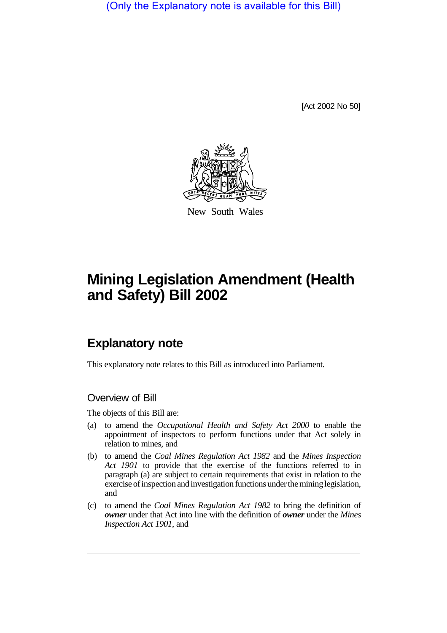(Only the Explanatory note is available for this Bill)

[Act 2002 No 50]



New South Wales

# **Mining Legislation Amendment (Health and Safety) Bill 2002**

## **Explanatory note**

This explanatory note relates to this Bill as introduced into Parliament.

#### Overview of Bill

The objects of this Bill are:

- (a) to amend the *Occupational Health and Safety Act 2000* to enable the appointment of inspectors to perform functions under that Act solely in relation to mines, and
- (b) to amend the *Coal Mines Regulation Act 1982* and the *Mines Inspection Act 1901* to provide that the exercise of the functions referred to in paragraph (a) are subject to certain requirements that exist in relation to the exercise of inspection and investigation functions under the mininglegislation, and
- (c) to amend the *Coal Mines Regulation Act 1982* to bring the definition of *owner* under that Act into line with the definition of *owner* under the *Mines Inspection Act 1901*, and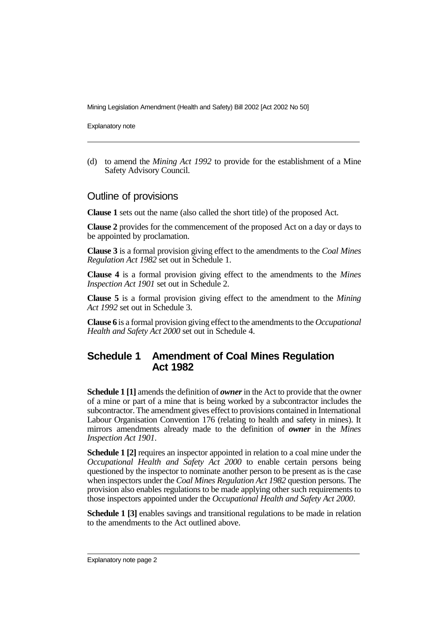Mining Legislation Amendment (Health and Safety) Bill 2002 [Act 2002 No 50]

Explanatory note

(d) to amend the *Mining Act 1992* to provide for the establishment of a Mine Safety Advisory Council.

#### Outline of provisions

**Clause 1** sets out the name (also called the short title) of the proposed Act.

**Clause 2** provides for the commencement of the proposed Act on a day or days to be appointed by proclamation.

**Clause 3** is a formal provision giving effect to the amendments to the *Coal Mines Regulation Act 1982* set out in Schedule 1.

**Clause 4** is a formal provision giving effect to the amendments to the *Mines Inspection Act 1901* set out in Schedule 2.

**Clause 5** is a formal provision giving effect to the amendment to the *Mining Act 1992* set out in Schedule 3.

**Clause 6** is a formal provision giving effect to the amendments to the *Occupational Health and Safety Act 2000* set out in Schedule 4.

#### **Schedule 1 Amendment of Coal Mines Regulation Act 1982**

**Schedule 1 [1]** amends the definition of *owner*in the Act to provide that the owner of a mine or part of a mine that is being worked by a subcontractor includes the subcontractor. The amendment gives effect to provisions contained in International Labour Organisation Convention 176 (relating to health and safety in mines). It mirrors amendments already made to the definition of *owner* in the *Mines Inspection Act 1901*.

**Schedule 1 [2]** requires an inspector appointed in relation to a coal mine under the *Occupational Health and Safety Act 2000* to enable certain persons being questioned by the inspector to nominate another person to be present as is the case when inspectors under the *Coal Mines Regulation Act 1982* question persons. The provision also enables regulations to be made applying other such requirements to those inspectors appointed under the *Occupational Health and Safety Act 2000*.

**Schedule 1 [3]** enables savings and transitional regulations to be made in relation to the amendments to the Act outlined above.

Explanatory note page 2